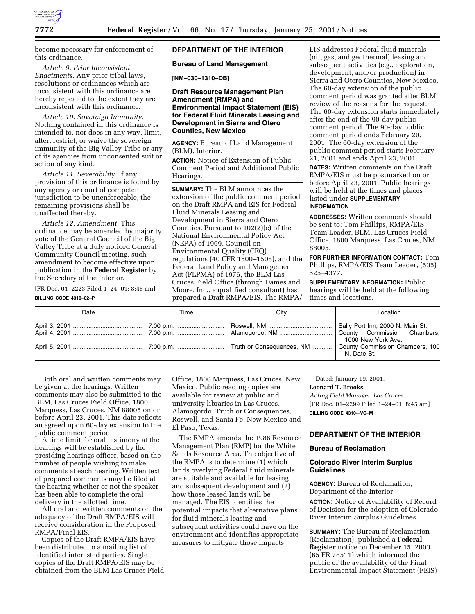

become necessary for enforcement of this ordinance.

*Article 9. Prior Inconsistent Enactments.* Any prior tribal laws, resolutions or ordinances which are inconsistent with this ordinance are hereby repealed to the extent they are inconsistent with this ordinance.

*Article 10. Sovereign Immunity.* Nothing contained in this ordinance is intended to, nor does in any way, limit, alter, restrict, or waive the sovereign immunity of the Big Valley Tribe or any of its agencies from unconsented suit or action of any kind.

*Article 11. Severability.* If any provision of this ordinance is found by any agency or court of competent jurisdiction to be unenforceable, the remaining provisions shall be unaffected thereby.

*Article 12. Amendment.* This ordinance may be amended by majority vote of the General Council of the Big Valley Tribe at a duly noticed General Community Council meeting, such amendment to become effective upon publication in the **Federal Register** by the Secretary of the Interior.

[FR Doc. 01–2223 Filed 1–24–01; 8:45 am]

#### **BILLING CODE 4310–02–P**

# **DEPARTMENT OF THE INTERIOR**

**Bureau of Land Management**

**[NM–030–1310–DB]**

# **Draft Resource Management Plan Amendment (RMPA) and Environmental Impact Statement (EIS) for Federal Fluid Minerals Leasing and Development in Sierra and Otero Counties, New Mexico**

**AGENCY:** Bureau of Land Management (BLM), Interior.

**ACTION:** Notice of Extension of Public Comment Period and Additional Public Hearings.

**SUMMARY:** The BLM announces the extension of the public comment period on the Draft RMPA and EIS for Federal Fluid Minerals Leasing and Development in Sierra and Otero Counties. Pursuant to 102(2)(c) of the National Environmental Policy Act (NEPA) of 1969, Council on Environmental Quality (CEQ) regulations (40 CFR 1500–1508), and the Federal Land Policy and Management Act (FLPMA) of 1976, the BLM Las Cruces Field Office (through Dames and Moore, Inc., a qualified consultant) has prepared a Draft RMPA/EIS. The RMPA/

EIS addresses Federal fluid minerals (oil, gas, and geothermal) leasing and subsequent activities (e.g., exploration, development, and/or production) in Sierra and Otero Counties, New Mexico. The 60-day extension of the public comment period was granted after BLM review of the reasons for the request. The 60-day extension starts immediately after the end of the 90-day public comment period. The 90-day public comment period ends February 20, 2001. The 60-day extension of the public comment period starts February 21, 2001 and ends April 23, 2001. **DATES:** Written comments on the Draft RMPA/EIS must be postmarked on or before April 23, 2001. Public hearings will be held at the times and places listed under **SUPPLEMENTARY**

#### **INFORMATION**.

**ADDRESSES:** Written comments should be sent to: Tom Phillips, RMPA/EIS Team Leader, BLM, Las Cruces Field Office, 1800 Marquess, Las Cruces, NM 88005.

**FOR FURTHER INFORMATION CONTACT:** Tom Phillips, RMPA/EIS Team Leader, (505) 525–4377.

**SUPPLEMENTARY INFORMATION:** Public hearings will be held at the following times and locations.

| Date | Time | Citv | Location           |
|------|------|------|--------------------|
|      |      |      | 1000 New York Ave. |
|      |      |      | N. Date St.        |

Both oral and written comments may be given at the hearings. Written comments may also be submitted to the BLM, Las Cruces Field Office, 1800 Marquess, Las Cruces, NM 88005 on or before April 23, 2001. This date reflects an agreed upon 60-day extension to the public comment period.

A time limit for oral testimony at the hearings will be established by the presiding hearings officer, based on the number of people wishing to make comments at each hearing. Written text of prepared comments may be filed at the hearing whether or not the speaker has been able to complete the oral delivery in the allotted time.

All oral and written comments on the adequacy of the Draft RMPA/EIS will receive consideration in the Proposed RMPA/Final EIS.

Copies of the Draft RMPA/EIS have been distributed to a mailing list of identified interested parties. Single copies of the Draft RMPA/EIS may be obtained from the BLM Las Cruces Field Office, 1800 Marquess, Las Cruces, New Mexico. Public reading copies are available for review at public and university libraries in Las Cruces, Alamogordo, Truth or Consequences, Roswell, and Santa Fe, New Mexico and El Paso, Texas.

The RMPA amends the 1986 Resource Management Plan (RMP) for the White Sands Resource Area. The objective of the RMPA is to determine (1) which lands overlying Federal fluid minerals are suitable and available for leasing and subsequent development and (2) how those leased lands will be managed. The EIS identifies the potential impacts that alternative plans for fluid minerals leasing and subsequent activities could have on the environment and identifies appropriate measures to mitigate those impacts.

Dated: January 19, 2001.

# **Leonard T. Brooks,**

*Acting Field Manager, Las Cruces.* [FR Doc. 01–2299 Filed 1–24–01; 8:45 am] **BILLING CODE 4310-–VC–M**

# **DEPARTMENT OF THE INTERIOR**

#### **Bureau of Reclamation**

# **Colorado River Interim Surplus Guidelines**

**AGENCY:** Bureau of Reclamation, Department of the Interior.

**ACTION:** Notice of Availability of Record of Decision for the adoption of Colorado River Interim Surplus Guidelines.

**SUMMARY:** The Bureau of Reclamation (Reclamation), published a **Federal Register** notice on December 15, 2000 (65 FR 78511) which informed the public of the availability of the Final Environmental Impact Statement (FEIS)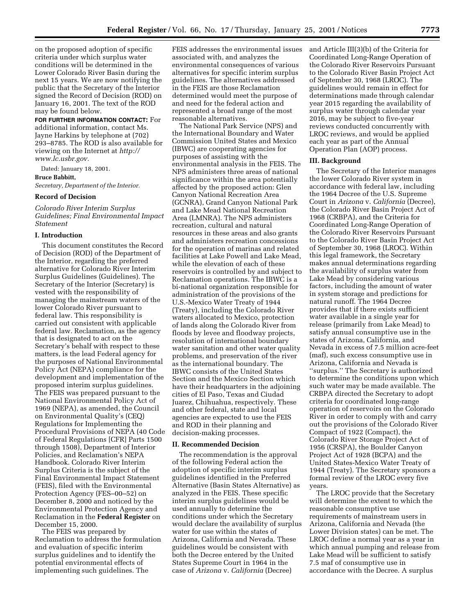on the proposed adoption of specific criteria under which surplus water conditions will be determined in the Lower Colorado River Basin during the next 15 years. We are now notifying the public that the Secretary of the Interior signed the Record of Decision (ROD) on January 16, 2001. The text of the ROD may be found below.

**FOR FURTHER INFORMATION CONTACT:** For additional information, contact Ms. Jayne Harkins by telephone at (702) 293–8785. The ROD is also available for viewing on the Internet at *http:// www.lc.usbr.gov.*

Dated: January 18, 2001. **Bruce Babbitt,** *Secretary, Department of the Interior.*

#### **Record of Decision**

*Colorado River Interim Surplus Guidelines; Final Environmental Impact Statement*

## **I. Introduction**

This document constitutes the Record of Decision (ROD) of the Department of the Interior, regarding the preferred alternative for Colorado River Interim Surplus Guidelines (Guidelines). The Secretary of the Interior (Secretary) is vested with the responsibility of managing the mainstream waters of the lower Colorado River pursuant to federal law. This responsibility is carried out consistent with applicable federal law. Reclamation, as the agency that is designated to act on the Secretary's behalf with respect to these matters, is the lead Federal agency for the purposes of National Environmental Policy Act (NEPA) compliance for the development and implementation of the proposed interim surplus guidelines. The FEIS was prepared pursuant to the National Environmental Policy Act of 1969 (NEPA), as amended, the Council on Environmental Quality's (CEQ) Regulations for Implementing the Procedural Provisions of NEPA (40 Code of Federal Regulations [CFR] Parts 1500 through 1508), Department of Interior Policies, and Reclamation's NEPA Handbook. Colorado River Interim Surplus Criteria is the subject of the Final Environmental Impact Statement (FEIS), filed with the Environmental Protection Agency (FES–00–52) on December 8, 2000 and noticed by the Environmental Protection Agency and Reclamation in the **Federal Register** on December 15, 2000.

The FEIS was prepared by Reclamation to address the formulation and evaluation of specific interim surplus guidelines and to identify the potential environmental effects of implementing such guidelines. The

FEIS addresses the environmental issues associated with, and analyzes the environmental consequences of various alternatives for specific interim surplus guidelines. The alternatives addressed in the FEIS are those Reclamation determined would meet the purpose of and need for the federal action and represented a broad range of the most reasonable alternatives.

The National Park Service (NPS) and the International Boundary and Water Commission United States and Mexico (IBWC) are cooperating agencies for purposes of assisting with the environmental analysis in the FEIS. The NPS administers three areas of national significance within the area potentially affected by the proposed action: Glen Canyon National Recreation Area (GCNRA), Grand Canyon National Park and Lake Mead National Recreation Area (LMNRA). The NPS administers recreation, cultural and natural resources in these areas and also grants and administers recreation concessions for the operation of marinas and related facilities at Lake Powell and Lake Mead, while the elevation of each of these reservoirs is controlled by and subject to Reclamation operations. The IBWC is a bi-national organization responsible for administration of the provisions of the U.S.-Mexico Water Treaty of 1944 (Treaty), including the Colorado River waters allocated to Mexico, protection of lands along the Colorado River from floods by levee and floodway projects, resolution of international boundary water sanitation and other water quality problems, and preservation of the river as the international boundary. The IBWC consists of the United States Section and the Mexico Section which have their headquarters in the adjoining cities of El Paso, Texas and Ciudad Juarez, Chihuahua, respectively. These and other federal, state and local agencies are expected to use the FEIS and ROD in their planning and decision-making processes.

### **II. Recommended Decision**

The recommendation is the approval of the following Federal action the adoption of specific interim surplus guidelines identified in the Preferred Alternative (Basin States Alternative) as analyzed in the FEIS. These specific interim surplus guidelines would be used annually to determine the conditions under which the Secretary would declare the availability of surplus water for use within the states of Arizona, California and Nevada. These guidelines would be consistent with both the Decree entered by the United States Supreme Court in 1964 in the case of *Arizona* v. *California* (Decree)

and Article III(3)(b) of the Criteria for Coordinated Long-Range Operation of the Colorado River Reservoirs Pursuant to the Colorado River Basin Project Act of September 30, 1968 (LROC). The guidelines would remain in effect for determinations made through calendar year 2015 regarding the availability of surplus water through calendar year 2016, may be subject to five-year reviews conducted concurrently with LROC reviews, and would be applied each year as part of the Annual Operation Plan (AOP) process.

# **III. Background**

The Secretary of the Interior manages the lower Colorado River system in accordance with federal law, including the 1964 Decree of the U.S. Supreme Court in *Arizona* v. *California* (Decree), the Colorado River Basin Project Act of 1968 (CRBPA), and the Criteria for Coordinated Long-Range Operation of the Colorado River Reservoirs Pursuant to the Colorado River Basin Project Act of September 30, 1968 (LROC). Within this legal framework, the Secretary makes annual determinations regarding the availability of surplus water from Lake Mead by considering various factors, including the amount of water in system storage and predictions for natural runoff. The 1964 Decree provides that if there exists sufficient water available in a single year for release (primarily from Lake Mead) to satisfy annual consumptive use in the states of Arizona, California, and Nevada in excess of 7.5 million acre-feet (maf), such excess consumptive use in Arizona, California and Nevada is ''surplus.'' The Secretary is authorized to determine the conditions upon which such water may be made available. The CRBPA directed the Secretary to adopt criteria for coordinated long-range operation of reservoirs on the Colorado River in order to comply with and carry out the provisions of the Colorado River Compact of 1922 (Compact), the Colorado River Storage Project Act of 1956 (CRSPA), the Boulder Canyon Project Act of 1928 (BCPA) and the United States-Mexico Water Treaty of 1944 (Treaty). The Secretary sponsors a formal review of the LROC every five years.

The LROC provide that the Secretary will determine the extent to which the reasonable consumptive use requirements of mainstream users in Arizona, California and Nevada (the Lower Division states) can be met. The LROC define a normal year as a year in which annual pumping and release from Lake Mead will be sufficient to satisfy 7.5 maf of consumptive use in accordance with the Decree. A surplus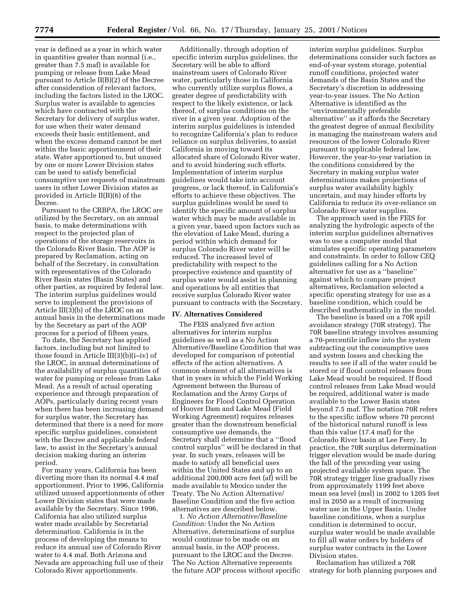year is defined as a year in which water in quantities greater than normal (i.e., greater than 7.5 maf) is available for pumping or release from Lake Mead pursuant to Article II(B)(2) of the Decree after consideration of relevant factors, including the factors listed in the LROC. Surplus water is available to agencies which have contracted with the Secretary for delivery of surplus water, for use when their water demand exceeds their basic entitlement, and when the excess demand cannot be met within the basic apportionment of their state. Water apportioned to, but unused by one or more Lower Division states can be used to satisfy beneficial consumptive use requests of mainstream users in other Lower Division states as provided in Article II(B)(6) of the Decree.

Pursuant to the CRBPA, the LROC are utilized by the Secretary, on an annual basis, to make determinations with respect to the projected plan of operations of the storage reservoirs in the Colorado River Basin. The AOP is prepared by Reclamation, acting on behalf of the Secretary, in consultation with representatives of the Colorado River Basin states (Basin States) and other parties, as required by federal law. The interim surplus guidelines would serve to implement the provisions of Article III(3)(b) of the LROC on an annual basis in the determinations made by the Secretary as part of the AOP process for a period of fifteen years.

To date, the Secretary has applied factors, including but not limited to those found in Article III(3)(b)(i–iv) of the LROC, in annual determinations of the availability of surplus quantities of water for pumping or release from Lake Mead. As a result of actual operating experience and through preparation of AOPs, particularly during recent years when there has been increasing demand for surplus water, the Secretary has determined that there is a need for more specific surplus guidelines, consistent with the Decree and applicable federal law, to assist in the Secretary's annual decision making during an interim period.

For many years, California has been diverting more than its normal 4.4 maf apportionment. Prior to 1996, California utilized unused apportionments of other Lower Division states that were made available by the Secretary. Since 1996, California has also utilized surplus water made available by Secretarial determination. California is in the process of developing the means to reduce its annual use of Colorado River water to 4.4 maf. Both Arizona and Nevada are approaching full use of their Colorado River apportionments.

Additionally, through adoption of specific interim surplus guidelines, the Secretary will be able to afford mainstream users of Colorado River water, particularly those in California who currently utilize surplus flows, a greater degree of predictability with respect to the likely existence, or lack thereof, of surplus conditions on the river in a given year. Adoption of the interim surplus guidelines is intended to recognize California's plan to reduce reliance on surplus deliveries, to assist California in moving toward its allocated share of Colorado River water, and to avoid hindering such efforts. Implementation of interim surplus guidelines would take into account progress, or lack thereof, in California's efforts to achieve these objectives. The surplus guidelines would be used to identify the specific amount of surplus water which may be made available in a given year, based upon factors such as the elevation of Lake Mead, during a period within which demand for surplus Colorado River water will be reduced. The increased level of predictability with respect to the prospective existence and quantity of surplus water would assist in planning and operations by all entities that receive surplus Colorado River water pursuant to contracts with the Secretary.

## **IV. Alternatives Considered**

The FEIS analyzed five action alternatives for interim surplus guidelines as well as a No Action Alternative/Baseline Condition that was developed for comparison of potential effects of the action alternatives. A common element of all alternatives is that in years in which the Field Working Agreement between the Bureau of Reclamation and the Army Corps of Engineers for Flood Control Operation of Hoover Dam and Lake Mead (Field Working Agreement) requires releases greater than the downstream beneficial consumptive use demands, the Secretary shall determine that a ''flood control surplus'' will be declared in that year. In such years, releases will be made to satisfy all beneficial uses within the United States and up to an additional 200,000 acre feet (af) will be made available to Mexico under the Treaty. The No Action Alternative/ Baseline Condition and the five action alternatives are described below.

1. *No Action Alternative/Baseline Condition:* Under the No Action Alternative, determinations of surplus would continue to be made on an annual basis, in the AOP process, pursuant to the LROC and the Decree. The No Action Alternative represents the future AOP process without specific

interim surplus guidelines. Surplus determinations consider such factors as end-of-year system storage, potential runoff conditions, projected water demands of the Basin States and the Secretary's discretion in addressing year-to-year issues. The No Action Alternative is identified as the ''environmentally preferable alternative'' as it affords the Secretary the greatest degree of annual flexibility in managing the mainstream waters and resources of the lower Colorado River pursuant to applicable federal law. However, the year-to-year variation in the conditions considered by the Secretary in making surplus water determinations makes projections of surplus water availability highly uncertain, and may hinder efforts by California to reduce its over-reliance on Colorado River water supplies.

The approach used in the FEIS for analyzing the hydrologic aspects of the interim surplus guidelines alternatives was to use a computer model that simulates specific operating parameters and constraints. In order to follow CEQ guidelines calling for a No Action alternative for use as a ''baseline'' against which to compare project alternatives, Reclamation selected a specific operating strategy for use as a baseline condition, which could be described mathematically in the model.

The baseline is based on a 70R spill avoidance strategy (70R strategy). The 70R baseline strategy involves assuming a 70-percentile inflow into the system subtracting out the consumptive uses and system losses and checking the results to see if all of the water could be stored or if flood control releases from Lake Mead would be required. If flood control releases from Lake Mead would be required, additional water is made available to the Lower Basin states beyond 7.5 maf. The notation 70R refers to the specific inflow where 70 percent of the historical natural runoff is less than this value (17.4 maf) for the Colorado River basin at Lee Ferry. In practice, the 70R surplus determination trigger elevation would be made during the fall of the preceding year using projected available system space. The 70R strategy trigger line gradually rises from approximately 1199 feet above mean sea level (msl) in 2002 to 1205 feet msl in 2050 as a result of increasing water use in the Upper Basin. Under baseline conditions, when a surplus condition is determined to occur, surplus water would be made available to fill all water orders by holders of surplus water contracts in the Lower Division states.

Reclamation has utilized a 70R strategy for both planning purposes and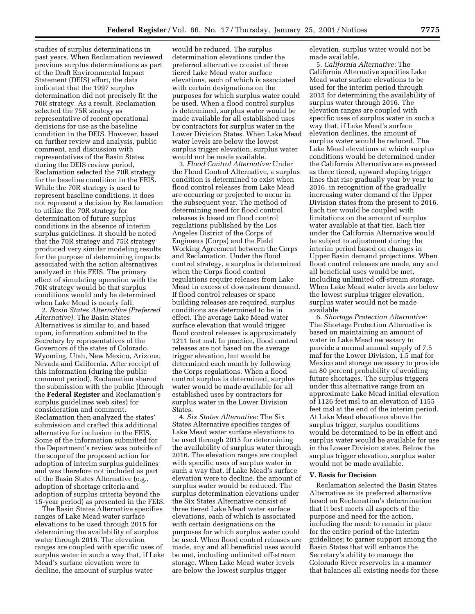studies of surplus determinations in past years. When Reclamation reviewed previous surplus determinations as part of the Draft Environmental Impact Statement (DEIS) effort, the data indicated that the 1997 surplus determination did not precisely fit the 70R strategy. As a result, Reclamation selected the 75R strategy as representative of recent operational decisions for use as the baseline condition in the DEIS. However, based on further review and analysis, public comment, and discussion with representatives of the Basin States during the DEIS review period, Reclamation selected the 70R strategy for the baseline condition in the FEIS. While the 70R strategy is used to represent baseline conditions, it does not represent a decision by Reclamation to utilize the 70R strategy for determination of future surplus conditions in the absence of interim surplus guidelines. It should be noted that the 70R strategy and 75R strategy produced very similar modeling results for the purpose of determining impacts associated with the action alternatives analyzed in this FEIS. The primary effect of simulating operation with the 70R strategy would be that surplus conditions would only be determined when Lake Mead is nearly full.

2. *Basin States Alternative (Preferred Alternative)*: The Basin States Alternatives is similar to, and based upon, information submitted to the Secretary by representatives of the Governors of the states of Colorado, Wyoming, Utah, New Mexico, Arizona, Nevada and California. After receipt of this information (during the public comment period), Reclamation shared the submission with the public (through the **Federal Register** and Reclamation's surplus guidelines web sites) for consideration and comment. Reclamation then analyzed the states' submission and crafted this additional alternative for inclusion in the FEIS. Some of the information submitted for the Department's review was outside of the scope of the proposed action for adoption of interim surplus guidelines and was therefore not included as part of the Basin States Alternative (e.g., adoption of shortage criteria and adoption of surplus criteria beyond the 15-year period) as presented in the FEIS.

The Basin States Alternative specifies ranges of Lake Mead water surface elevations to be used through 2015 for determining the availability of surplus water through 2016. The elevation ranges are coupled with specific uses of surplus water in such a way that, if Lake Mead's surface elevation were to decline, the amount of surplus water

would be reduced. The surplus determination elevations under the preferred alternative consist of three tiered Lake Mead water surface elevations, each of which is associated with certain designations on the purposes for which surplus water could be used. When a flood control surplus is determined, surplus water would be made available for all established uses by contractors for surplus water in the Lower Division States. When Lake Mead water levels are below the lowest surplus trigger elevation, surplus water would not be made available.

3. *Flood Control Alternative:* Under the Flood Control Alternative, a surplus condition is determined to exist when flood control releases from Lake Mead are occurring or projected to occur in the subsequent year. The method of determining need for flood control releases is based on flood control regulations published by the Los Angeles District of the Corps of Engineers (Corps) and the Field Working Agreement between the Corps and Reclamation. Under the flood control strategy, a surplus is determined when the Corps flood control regulations require releases from Lake Mead in excess of downstream demand. If flood control releases or space building releases are required, surplus conditions are determined to be in effect. The average Lake Mead water surface elevation that would trigger flood control releases is approximately 1211 feet msl. In practice, flood control releases are not based on the average trigger elevation, but would be determined each month by following the Corps regulations. When a flood control surplus is determined, surplus water would be made available for all established uses by contractors for surplus water in the Lower Division States.

4. *Six States Alternative:* The Six States Alternative specifies ranges of Lake Mead water surface elevations to be used through 2015 for determining the availability of surplus water through 2016. The elevation ranges are coupled with specific uses of surplus water in such a way that, if Lake Mead's surface elevation were to decline, the amount of surplus water would be reduced. The surplus determination elevations under the Six States Alternative consist of three tiered Lake Mead water surface elevations, each of which is associated with certain designations on the purposes for which surplus water could be used. When flood control releases are made, any and all beneficial uses would be met, including unlimited off-stream storage. When Lake Mead water levels are below the lowest surplus trigger

elevation, surplus water would not be made available.

5. *California Alternative:* The California Alternative specifies Lake Mead water surface elevations to be used for the interim period through 2015 for determining the availability of surplus water through 2016. The elevation ranges are coupled with specific uses of surplus water in such a way that, if Lake Mead's surface elevation declines, the amount of surplus water would be reduced. The Lake Mead elevations at which surplus conditions would be determined under the California Alternative are expressed as three tiered, upward sloping trigger lines that rise gradually year by year to 2016, in recognition of the gradually increasing water demand of the Upper Division states from the present to 2016. Each tier would be coupled with limitations on the amount of surplus water available at that tier. Each tier under the California Alternative would be subject to adjustment during the interim period based on changes in Upper Basin demand projections. When flood control releases are made, any and all beneficial uses would be met, including unlimited off-stream storage. When Lake Mead water levels are below the lowest surplus trigger elevation, surplus water would not be made available

6. *Shortage Protection Alternative:* The Shortage Protection Alternative is based on maintaining an amount of water in Lake Mead necessary to provide a normal annual supply of 7.5 maf for the Lower Division, 1.5 maf for Mexico and storage necessary to provide an 80 percent probability of avoiding future shortages. The surplus triggers under this alternative range from an approximate Lake Mead initial elevation of 1126 feet msl to an elevation of 1155 feet msl at the end of the interim period. At Lake Mead elevations above the surplus trigger, surplus conditions would be determined to be in effect and surplus water would be available for use in the Lower Division states. Below the surplus trigger elevation, surplus water would not be made available.

### **V. Basis for Decision**

Reclamation selected the Basin States Alternative as its preferred alternative based on Reclamation's determination that it best meets all aspects of the purpose and need for the action, including the need: to remain in place for the entire period of the interim guidelines; to garner support among the Basin States that will enhance the Secretary's ability to manage the Colorado River reservoirs in a manner that balances all existing needs for these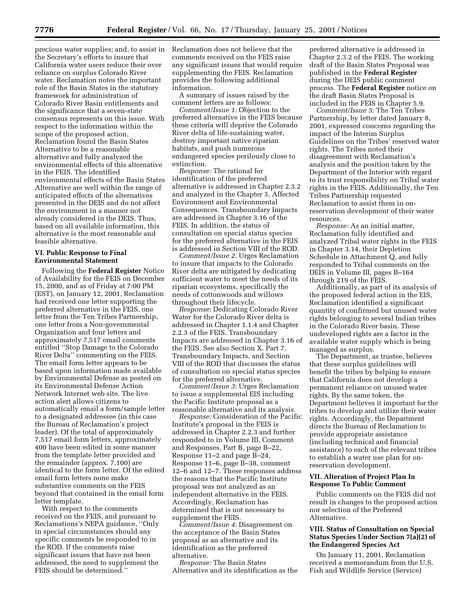precious water supplies; and, to assist in the Secretary's efforts to insure that California water users reduce their over reliance on surplus Colorado River water. Reclamation notes the important role of the Basin States in the statutory framework for administration of Colorado River Basin entitlements and the significance that a seven-state consensus represents on this issue. With respect to the information within the scope of the proposed action, Reclamation found the Basin States Alternative to be a reasonable alternative and fully analyzed the environmental effects of this alternative in the FEIS. The identified environmental effects of the Basin States Alternative are well within the range of anticipated effects of the alternatives presented in the DEIS and do not affect the environment in a manner not already considered in the DEIS. Thus, based on all available information, this alternative is the most reasonable and feasible alternative.

### **VI. Public Response to Final Environmental Statement**

Following the **Federal Register** Notice of Availability for the FEIS on December 15, 2000, and as of Friday at 7:00 PM (EST), on January 12, 2001, Reclamation had received one letter supporting the preferred alternative in the FEIS, one letter from the Ten Tribes Partnership, one letter from a Non-governmental Organization and four letters and approximately 7,517 email comments entitled ''Stop Damage to the Colorado River Delta'' commenting on the FEIS. The email form letter appears to be based upon information made available by Environmental Defense as posted on its Environmental Defense Action Network Internet web site. The live action alert allows citizens to automatically email a form/sample letter to a designated addressee (in this case the Bureau of Reclamation's project leader). Of the total of approximately 7,517 email form letters, approximately 400 have been edited in some manner from the template letter provided and the remainder (approx. 7,100) are identical to the form letter. Of the edited email form letters none make substantive comments on the FEIS beyond that contained in the email form letter template.

With respect to the comments received on the FEIS, and pursuant to Reclamations's NEPA guidance, ''Only in special circumstances should any specific comments be responded to in the ROD. If the comments raise significant issues that have not been addressed, the need to supplement the FEIS should be determined.''

Reclamation does not believe that the comments received on the FEIS raise any significant issues that would require supplementing the FEIS. Reclamation provides the following additional information.

A summary of issues raised by the comment letters are as follows:

*Comment/Issue 1:* Objection to the preferred alternative in the FEIS because these criteria will deprive the Colorado River delta of life-sustaining water, destroy important native riparian habitats, and push numerous endangered species perilously close to extinction.

*Response:* The rational for identification of the preferred alternative is addressed in Chapter 2.3.2 and analyzed in the Chapter 3, Affected Environment and Environmental Consequences. Transboundary Impacts are addressed in Chapter 3.16 of the FEIS. In addition, the status of consultation on special status species for the preferred alternative in the FEIS is addressed in Section VIII of the ROD.

*Comment/Issue 2*. Urges Reclamation to insure that impacts to the Colorado River delta are mitigated by dedicating sufficient water to meet the needs of its riparian ecosystems, specifically the needs of cottonwoods and willows throughout their lifecycle.

*Response*: Dedicating Colorado River Water for the Colorado River delta is addressed in Chapter 1.1.4 and Chapter 2.2.3 of the FEIS. Transboundary Impacts are addressed in Chapter 3.16 of the FEIS. See also Section X. Part 7, Transboundary Impacts, and Section VIII of the ROD that discusses the status of consultation on special status species for the preferred alternative.

*Comment/Issue 3*: Urges Reclamation to issue a supplemental EIS including the Pacific Institute proposal as a reasonable alternative and its analysis.

*Response:* Consideration of the Pacific Institute's proposal in the FEIS is addressed in Chapter 2.2.3 and further responded to in Volume III, Comment and Responses, Part B, page B–22, Response 11–2 and page B–24, Response 11–6, page B–38, comment 12–6 and 12–7. These responses address the reasons that the Pacific Institute proposal was not analyzed as an independent alternative in the FEIS. Accordingly, Reclamation has determined that is not necessary to supplement the FEIS.

*Comment/Issue 4*: Disagreement on the acceptance of the Basin States proposal as an alternative and its identification as the preferred alternative.

*Response:* The Basin States Alternative and its identification as the

preferred alternative is addressed in Chapter 2.3.2 of the FEIS. The working draft of the Basin States Proposal was published in the **Federal Register** during the DEIS public comment process. The **Federal Register** notice on the draft Basin States Proposal is included in the FEIS in Chapter 5.9.

*Comment/Issue 5*: The Ten Tribes Partnership, by letter dated January 8, 2001, expressed concerns regarding the impact of the Interim Surplus Guidelines on the Tribes' reserved water rights. The Tribes noted their disagreement with Reclamation's analysis and the position taken by the Department of the Interior with regard to its trust responsibility on Tribal water rights in the FEIS. Additionally, the Ten Tribes Partnership requested Reclamation to assist them in onreservation development of their water resources.

*Response:* As an initial matter, Reclamation fully identified and analyzed Tribal water rights in the FEIS in Chapter 3.14, their Depletion Schedule in Attachment Q, and fully responded to Tribal comments on the DEIS in Volume III, pages B–164 through 219 of the FEIS.

Additionally, as part of its analysis of the proposed federal action in the EIS, Reclamation identified a significant quantity of confirmed but unused water rights belonging to several Indian tribes in the Colorado River basin. These undeveloped rights are a factor in the available water supply which is being managed as surplus.

The Department, as trustee, believes that these surplus guidelines will benefit the tribes by helping to ensure that California does not develop a permanent reliance on unused water rights. By the same token, the Department believes it important for the tribes to develop and utilize their water rights. Accordingly, the Department directs the Bureau of Reclamation to provide appropriate assistance (including technical and financial assistance) to each of the relevant tribes to establish a water use plan for onreservation development.

# **VII. Alteration of Project Plan In Response To Public Comment**

Public comments on the FEIS did not result in changes to the proposed action nor selection of the Preferred Alternative.

# **VIII. Status of Consultation on Special Status Species Under Section 7(a)(2) of the Endangered Species Act**

On January 11, 2001, Reclamation received a memorandum from the U.S. Fish and Wildlife Service (Service)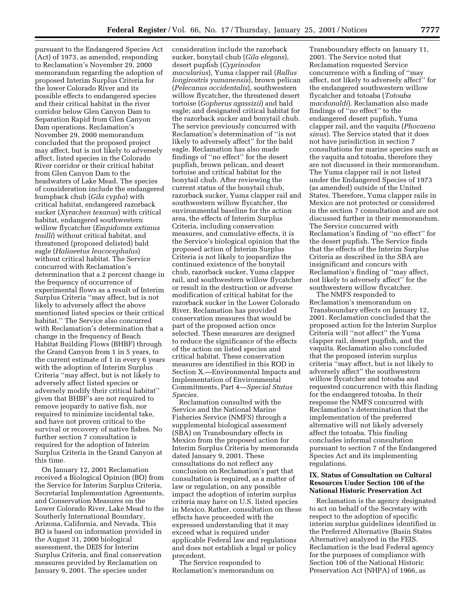pursuant to the Endangered Species Act (Act) of 1973, as amended, responding to Reclamation's November 29, 2000 memorandum regarding the adoption of proposed Interim Surplus Criteria for the lower Colorado River and its possible effects to endangered species and their critical habitat in the river corridor below Glen Canyon Dam to Separation Rapid from Glen Canyon Dam operations. Reclamation's November 29, 2000 memorandum concluded that the proposed project may affect, but is not likely to adversely affect, listed species in the Colorado River corridor or their critical habitat from Glen Canyon Dam to the headwaters of Lake Mead. The species of consideration include the endangered humpback chub (*Gila cypha*) with critical habitat, endangered razorback sucker (*Xyrachen texanus*) with critical habitat, endangered southwestern willow flycatcher (*Empidonax extimus trailli*) without critical habitat, and threatened (proposed delisted) bald eagle (*Haliaeetus leucocephalus*) without critical habitat. The Service concurred with Reclamation's determination that a 2 percent change in the frequency of occurrence of experimental flows as a result of Interim Surplus Criteria ''may affect, but is not likely to adversely affect the above mentioned listed species or their critical habitat.'' The Service also concurred with Reclamation's determination that a change in the frequency of Beach Habitat Building Flows (BHBF) through the Grand Canyon from 1 in 5 years, to the current estimate of 1 in every 6 years with the adoption of Interim Surplus Criteria ''may affect, but is not likely to adversely affect listed species or adversely modify their critical habitat'' given that BHBF's are not required to remove jeopardy to native fish, nor required to minimize incidental take, and have not proven critical to the survival or recovery of native fishes. No further section 7 consultation is required for the adoption of Interim Surplus Criteria in the Grand Canyon at this time.

On January 12, 2001 Reclamation received a Biological Opinion (BO) from the Service for Interim Surplus Criteria, Secretarial Implementation Agreements, and Conservation Measures on the Lower Colorado River, Lake Mead to the Southerly International Boundary, Arizona, California, and Nevada. This BO is based on information provided in the August 31, 2000 biological assessment, the DEIS for Interim Surplus Criteria, and final conservation measures provided by Reclamation on January 9, 2001. The species under

consideration include the razorback sucker, bonytail chub (*Gila elegans*), desert pupfish (*Cyprinodon macularius*), Yuma clapper rail (*Rallus longirostris yumanensis*), brown pelican (*Pelecanus occidentalis*), southwestern willow flycatcher, the threatened desert tortoise (*Gopherus agassizii*) and bald eagle; and designated critical habitat for the razorback sucker and bonytail chub. The service previously concurred with Reclamation's determination of ''is not likely to adversely affect'' for the bald eagle. Reclamation has also made findings of ''no effect'' for the desert pupfish, brown pelican, and desert tortoise and critical habitat for the bonytail chub. After reviewing the current status of the bonytail chub, razorback sucker, Yuma clapper rail and southwestern willow flycatcher, the environmental baseline for the action area, the effects of Interim Surplus Criteria, including conservation measures, and cumulative effects, it is the Service's biological opinion that the proposed action of Interim Surplus Criteria is not likely to jeopardize the continued existence of the bonytail chub, razorback sucker, Yuma clapper rail, and southwestern willow flycatcher or result in the destruction or adverse modification of critical habitat for the razorback sucker in the Lower Colorado River. Reclamation has provided conservation measures that would be part of the proposed action once selected. These measures are designed to reduce the significance of the effects of the action on listed species and critical habitat. These conservation measures are identified in this ROD in Section X.—Environmental Impacts and Implementation of Environmental Commitments, Part 4—*Special Status Species.*

Reclamation consulted with the Service and the National Marine Fisheries Service (NMFS) through a supplemental biological assessment (SBA) on Transboundary effects in Mexico from the proposed action for Interim Surplus Criteria by memoranda dated January 9, 2001. These consultations do not reflect any conclusion on Reclamation's part that consultation is required, as a matter of law or regulation, on any possible impact the adoption of interim surplus criteria may have on U.S. listed species in Mexico. Rather, consultation on these effects have proceeded with the expressed understanding that it may exceed what is required under applicable Federal law and regulations and does not establish a legal or policy precedent.

The Service responded to Reclamation's memorandum on

Transboundary effects on January 11, 2001. The Service noted that Reclamation requested Service concurrence with a finding of ''may affect, not likely to adversely affect'' for the endangered southwestern willow flycatcher and totoaba (*Totoaba macdonaldi*). Reclamation also made findings of ''no effect'' to the endangered desert pupfish, Yuma clapper rail, and the vaquita (*Phocaena sinus*). The Service stated that it does not have jurisdiction in section 7 consultations for marine species such as the vaquita and totoaba, therefore they are not discussed in their memorandum. The Yuma clapper rail is not listed under the Endangered Species of 1973 (as amended) outside of the United States. Therefore, Yuma clapper rails in Mexico are not protected or considered in the section 7 consultation and are not discussed further in their memorandum. The Service concurred with Reclamation's finding of ''no effect'' for the desert pupfish. The Service finds that the effects of the Interim Surplus Criteria as described in the SBA are insignificant and concurs with Reclamation's finding of ''may affect, not likely to adversely affect'' for the southwestern willow flycatcher.

The NMFS responded to Reclamation's memorandum on Transboundary effects on January 12, 2001. Reclamation concluded that the proposed action for the Interim Surplus Criteria will ''not affect'' the Yuma clapper rail, desert pupfish, and the vaquita. Reclamation also concluded that the proposed interim surplus criteria ''may affect, but is not likely to adversely affect'' the southwestern willow flycatcher and totoaba and requested concurrence with this finding for the endangered totoaba. In their response the NMFS concurred with Reclamation's determination that the implementation of the preferred alternative will not likely adversely affect the totoaba. This finding concludes informal consultation pursuant to section 7 of the Endangered Species Act and its implementing regulations.

# **IX. Status of Consultation on Cultural Resources Under Section 106 of the National Historic Preservation Act**

Reclamation is the agency designated to act on behalf of the Secretary with respect to the adoption of specific interim surplus guidelines identified in the Preferred Alternative (Basin States Alternative) analyzed in the FEIS. Reclamation is the lead Federal agency for the purposes of compliance with Section 106 of the National Historic Preservation Act (NHPA) of 1966, as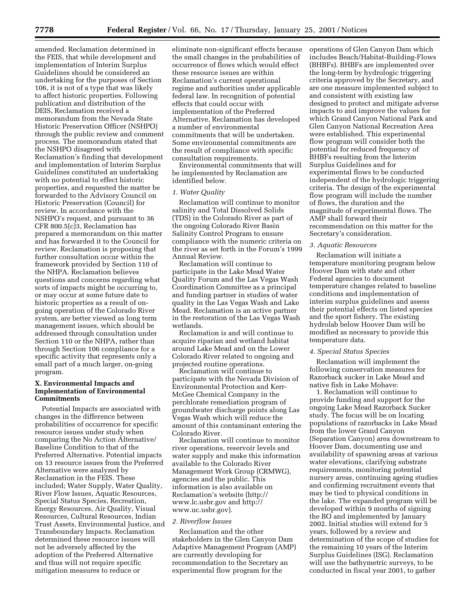amended. Reclamation determined in the FEIS, that while development and implementation of Interim Surplus Guidelines should be considered an undertaking for the purposes of Section 106, it is not of a type that was likely to affect historic properties. Following publication and distribution of the DEIS, Reclamation received a memorandum from the Nevada State Historic Preservation Officer (NSHPO) through the public review and comment process. The memorandum stated that the NSHPO disagreed with Reclamation's finding that development and implementation of Interim Surplus Guidelines constituted an undertaking with no potential to effect historic properties, and requested the matter be forwarded to the Advisory Council on Historic Preservation (Council) for review. In accordance with the NSHPO's request, and pursuant to 36 CFR 800.5(c)3, Reclamation has prepared a memorandum on this matter and has forwarded it to the Council for review. Reclamation is proposing that further consultation occur within the framework provided by Section 110 of the NHPA. Reclamation believes questions and concerns regarding what sorts of impacts might be occurring to, or may occur at some future date to historic properties as a result of ongoing operation of the Colorado River system, are better viewed as long term management issues, which should be addressed through consultation under Section 110 or the NHPA, rather than through Section 106 compliance for a specific activity that represents only a small part of a much larger, on-going program.

# **X. Environmental Impacts and Implementation of Environmental Commitments**

Potential Impacts are associated with changes in the difference between probabilities of occurrence for specific resource issues under study when comparing the No Action Alternative/ Baseline Condition to that of the Preferred Alternative. Potential impacts on 13 resource issues from the Preferred Alternative were analyzed by Reclamation in the FEIS. These included; Water Supply, Water Quality, River Flow Issues, Aquatic Resources, Special Status Species, Recreation, Energy Resources, Air Quality, Visual Resources, Cultural Resources, Indian Trust Assets, Environmental Justice, and Transboundary Impacts. Reclamation determined these resource issues will not be adversely affected by the adoption of the Preferred Alternative and thus will not require specific mitigation measures to reduce or

eliminate non-significant effects because the small changes in the probabilities of occurrence of flows which would effect these resource issues are within Reclamation's current operational regime and authorities under applicable federal law. In recognition of potential effects that could occur with implementation of the Preferred Alternative, Reclamation has developed a number of environmental commitments that will be undertaken. Some environmental commitments are the result of compliance with specific consultation requirements.

Environmental commitments that will be implemented by Reclamation are identified below.

## *1. Water Quality*

Reclamation will continue to monitor salinity and Total Dissolved Solids (TDS) in the Colorado River as part of the ongoing Colorado River Basin Salinity Control Program to ensure compliance with the numeric criteria on the river as set forth in the Forum's 1999 Annual Review.

Reclamation will continue to participate in the Lake Mead Water Quality Forum and the Las Vegas Wash Coordination Committee as a principal and funding partner in studies of water quality in the Las Vegas Wash and Lake Mead. Reclamation is an active partner in the restoration of the Las Vegas Wash wetlands.

Reclamation is and will continue to acquire riparian and wetland habitat around Lake Mead and on the Lower Colorado River related to ongoing and projected routine operations.

Reclamation will continue to participate with the Nevada Division of Environmental Protection and Kerr-McGee Chemical Company in the perchlorate remediation program of groundwater discharge points along Las Vegas Wash which will reduce the amount of this contaminant entering the Colorado River.

Reclamation will continue to monitor river operations, reservoir levels and water supply and make this information available to the Colorado River Management Work Group (CRMWG), agencies and the public. This information is also available on Reclamation's website (http:// www.lc.usbr.gov and http:// www.uc.usbr.gov).

#### *2. Riverflow Issues*

Reclamation and the other stakeholders in the Glen Canyon Dam Adaptive Management Program (AMP) are currently developing for recommendation to the Secretary an experimental flow program for the

operations of Glen Canyon Dam which includes Beach/Habitat-Building-Flows (BHBFs). BHBFs are implemented over the long-term by hydrologic triggering criteria approved by the Secretary, and are one measure implemented subject to and consistent with existing law designed to protect and mitigate adverse impacts to and improve the values for which Grand Canyon National Park and Glen Canyon National Recreation Area were established. This experimental flow program will consider both the potential for reduced frequency of BHBFs resulting from the Interim Surplus Guidelines and for experimental flows to be conducted independent of the hydrologic triggering criteria. The design of the experimental flow program will include the number of flows, the duration and the magnitude of experimental flows. The AMP shall forward their recommendation on this matter for the Secretary's consideration.

#### *3. Aquatic Resources*

Reclamation will initiate a temperature monitoring program below Hoover Dam with state and other Federal agencies to document temperature changes related to baseline conditions and implementation of interim surplus guidelines and assess their potential effects on listed species and the sport fishery. The existing hydrolab below Hoover Dam will be modified as necessary to provide this temperature data.

#### *4. Special Status Species*

Reclamation will implement the following conservation measures for Razorback sucker in Lake Mead and native fish in Lake Mohave:

1. Reclamation will continue to provide funding and support for the ongoing Lake Mead Razorback Sucker study. The focus will be on locating populations of razorbacks in Lake Mead from the lower Grand Canyon (Separation Canyon) area downstream to Hoover Dam, documenting use and availability of spawning areas at various water elevations, clarifying substrate requirements, monitoring potential nursery areas, continuing ageing studies and confirming recruitment events that may be tied to physical conditions in the lake. The expanded program will be developed within 9 months of signing the BO and implemented by January 2002. Initial studies will extend for 5 years, followed by a review and determination of the scope of studies for the remaining 10 years of the Interim Surplus Guidelines (ISG). Reclamation will use the bathymetric surveys, to be conducted in fiscal year 2001, to gather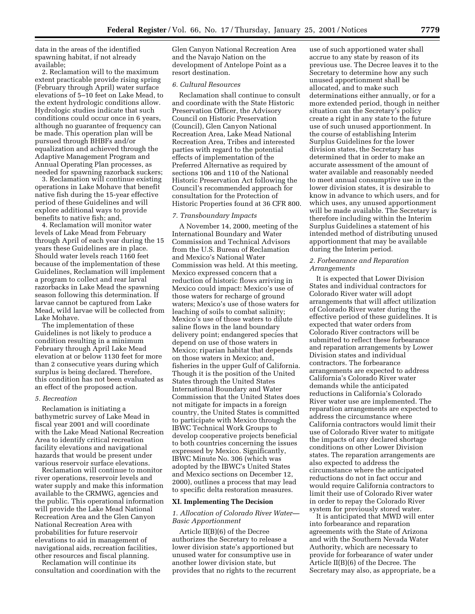data in the areas of the identified spawning habitat, if not already available;

2. Reclamation will to the maximum extent practicable provide rising spring (February through April) water surface elevations of 5–10 feet on Lake Mead, to the extent hydrologic conditions allow. Hydrologic studies indicate that such conditions could occur once in 6 years, although no guarantee of frequency can be made. This operation plan will be pursued through BHBFs and/or equalization and achieved through the Adaptive Management Program and Annual Operating Plan processes, as needed for spawning razorback suckers;

3. Reclamation will continue existing operations in Lake Mohave that benefit native fish during the 15-year effective period of these Guidelines and will explore additional ways to provide benefits to native fish; and,

4. Reclamation will monitor water levels of Lake Mead from February through April of each year during the 15 years these Guidelines are in place. Should water levels reach 1160 feet because of the implementation of these Guidelines, Reclamation will implement a program to collect and rear larval razorbacks in Lake Mead the spawning season following this determination. If larvae cannot be captured from Lake Mead, wild larvae will be collected from Lake Mohave.

The implementation of these Guidelines is not likely to produce a condition resulting in a minimum February through April Lake Mead elevation at or below 1130 feet for more than 2 consecutive years during which surplus is being declared. Therefore, this condition has not been evaluated as an effect of the proposed action.

#### *5. Recreation*

Reclamation is initiating a bathymetric survey of Lake Mead in fiscal year 2001 and will coordinate with the Lake Mead National Recreation Area to identify critical recreation facility elevations and navigational hazards that would be present under various reservoir surface elevations.

Reclamation will continue to monitor river operations, reservoir levels and water supply and make this information available to the CRMWG, agencies and the public. This operational information will provide the Lake Mead National Recreation Area and the Glen Canyon National Recreation Area with probabilities for future reservoir elevations to aid in management of navigational aids, recreation facilities, other resources and fiscal planning.

Reclamation will continue its consultation and coordination with the

Glen Canyon National Recreation Area and the Navajo Nation on the development of Antelope Point as a resort destination.

# *6. Cultural Resources*

Reclamation shall continue to consult and coordinate with the State Historic Preservation Officer, the Advisory Council on Historic Preservation (Council), Glen Canyon National Recreation Area, Lake Mead National Recreation Area, Tribes and interested parties with regard to the potential effects of implementation of the Preferred Alternative as required by sections 106 and 110 of the National Historic Preservation Act following the Council's recommended approach for consultation for the Protection of Historic Properties found at 36 CFR 800.

# *7. Transboundary Impacts*

A November 14, 2000, meeting of the International Boundary and Water Commission and Technical Advisors from the U.S. Bureau of Reclamation and Mexico's National Water Commission was held. At this meeting, Mexico expressed concern that a reduction of historic flows arriving in Mexico could impact: Mexico's use of those waters for recharge of ground waters; Mexico's use of those waters for leaching of soils to combat salinity; Mexico's use of those waters to dilute saline flows in the land boundary delivery point; endangered species that depend on use of those waters in Mexico; riparian habitat that depends on those waters in Mexico; and, fisheries in the upper Gulf of California. Though it is the position of the United States through the United States International Boundary and Water Commission that the United States does not mitigate for impacts in a foreign country, the United States is committed to participate with Mexico through the IBWC Technical Work Groups to develop cooperative projects beneficial to both countries concerning the issues expressed by Mexico. Significantly, IBWC Minute No. 306 (which was adopted by the IBWC's United States and Mexico sections on December 12, 2000), outlines a process that may lead to specific delta restoration measures.

#### **XI. Implementing The Decision**

## *1. Allocation of Colorado River Water— Basic Apportionment*

Article II(B)(6) of the Decree authorizes the Secretary to release a lower division state's apportioned but unused water for consumptive use in another lower division state, but provides that no rights to the recurrent

use of such apportioned water shall accrue to any state by reason of its previous use. The Decree leaves it to the Secretary to determine how any such unused apportionment shall be allocated, and to make such determinations either annually, or for a more extended period, though in neither situation can the Secretary's policy create a right in any state to the future use of such unused apportionment. In the course of establishing Interim Surplus Guidelines for the lower division states, the Secretary has determined that in order to make an accurate assessment of the amount of water available and reasonably needed to meet annual consumptive use in the lower division states, it is desirable to know in advance to which users, and for which uses, any unused apportionment will be made available. The Secretary is therefore including within the Interim Surplus Guidelines a statement of his intended method of distributing unused apportionment that may be available during the Interim period.

### *2. Forbearance and Reparation Arrangements*

It is expected that Lower Division States and individual contractors for Colorado River water will adopt arrangements that will affect utilization of Colorado River water during the effective period of these guidelines. It is expected that water orders from Colorado River contractors will be submitted to reflect these forbearance and reparation arrangements by Lower Division states and individual contractors. The forbearance arrangements are expected to address California's Colorado River water demands while the anticipated reductions in California's Colorado River water use are implemented. The reparation arrangements are expected to address the circumstance where California contractors would limit their use of Colorado River water to mitigate the impacts of any declared shortage conditions on other Lower Division states. The reparation arrangements are also expected to address the circumstance where the anticipated reductions do not in fact occur and would require California contractors to limit their use of Colorado River water in order to repay the Colorado River system for previously stored water.

It is anticipated that MWD will enter into forbearance and reparation agreements with the State of Arizona and with the Southern Nevada Water Authority, which are necessary to provide for forbearance of water under Article II(B)(6) of the Decree. The Secretary may also, as appropriate, be a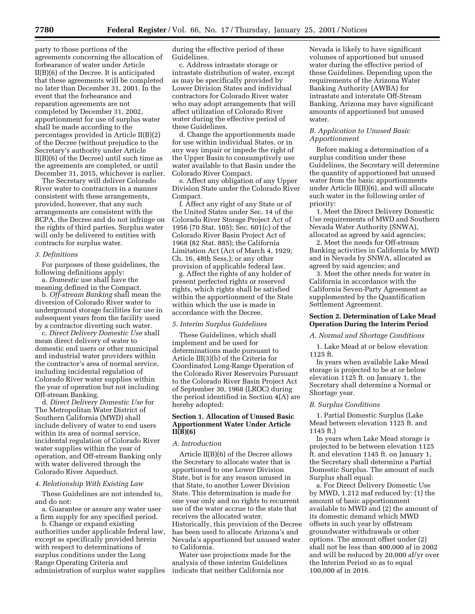party to those portions of the agreements concerning the allocation of forbearance of water under Article II(B)(6) of the Decree. It is anticipated that these agreements will be completed no later than December 31, 2001. In the event that the forbearance and reparation agreements are not completed by December 31, 2002, apportionment for use of surplus water shall be made according to the percentages provided in Article II(B)(2) of the Decree (without prejudice to the Secretary's authority under Article II(B)(6) of the Decree) until such time as the agreements are completed, or until December 31, 2015, whichever is earlier.

The Secretary will deliver Colorado River water to contractors in a manner consistent with these arrangements, provided, however, that any such arrangements are consistent with the BCPA, the Decree and do not infringe on the rights of third parties. Surplus water will only be delivered to entities with contracts for surplus water.

### *3. Definitions*

For purposes of these guidelines, the following definitions apply:

a. *Domestic* use shall have the meaning defined in the Compact.

b. *Off-stream Banking* shall mean the diversion of Colorado River water to underground storage facilities for use in subsequent years from the facility used by a contractor diverting such water.

c. *Direct Delivery Domestic Use* shall mean direct delivery of water to domestic end users or other municipal and industrial water providers within the contractor's area of normal service, including incidental regulation of Colorado River water supplies within the year of operation but not including Off-stream Banking.

d. *Direct Delivery Domestic Use* for The Metropolitan Water District of Southern California (MWD) shall include delivery of water to end users within its area of normal service, incidental regulation of Colorado River water supplies within the year of operation, and Off-stream Banking only with water delivered through the Colorado River Aqueduct.

#### *4. Relationship With Existing Law*

These Guidelines are not intended to, and do not:

a. Guarantee or assure any water user a firm supply for any specified period.

b. Change or expand existing authorities under applicable federal law, except as specifically provided herein with respect to determinations of surplus conditions under the Long Range Operating Criteria and administration of surplus water supplies during the effective period of these Guidelines.

c. Address intrastate storage or intrastate distribution of water, except as may be specifically provided by Lower Division States and individual contractors for Colorado River water who may adopt arrangements that will affect utilization of Colorado River water during the effective period of these Guidelines.

d. Change the apportionments made for use within individual States, or in any way impair or impede the right of the Upper Basin to consumptively use water available to that Basin under the Colorado River Compact.

e. Affect any obligation of any Upper Division State under the Colorado River Compact.

f. Affect any right of any State or of the United States under Sec. 14 of the Colorado River Storage Project Act of 1956 (70 Stat. 105); Sec. 601(c) of the Colorado River Basin Project Act of 1968 (82 Stat. 885); the California Limitation Act (Act of March 4, 1929; Ch. 16, 48th Sess.); or any other provision of applicable federal law.

g. Affect the rights of any holder of present perfected rights or reserved rights, which rights shall be satisfied within the apportionment of the State within which the use is made in accordance with the Decree.

### *5. Interim Surplus Guidelines*

These Guidelines, which shall implement and be used for determinations made pursuant to Article III(3)(b) of the Criteria for Coordinated Long-Range Operation of the Colorado River Reservoirs Pursuant to the Colorado River Basin Project Act of September 30, 1968 (LROC) during the period identified in Section 4(A) are hereby adopted:

# **Section 1. Allocation of Unused Basic Apportionment Water Under Article II(B)(6)**

### *A. Introduction*

Article II(B)(6) of the Decree allows the Secretary to allocate water that is apportioned to one Lower Division State, but is for any reason unused in that State, to another Lower Division State. This determination is made for one year only and no rights to recurrent use of the water accrue to the state that receives the allocated water. Historically, this provision of the Decree has been used to allocate Arizona's and Nevada's apportioned but unused water to California.

Water use projections made for the analysis of these interim Guidelines indicate that neither California nor

Nevada is likely to have significant volumes of apportioned but unused water during the effective period of these Guidelines. Depending upon the requirements of the Arizona Water Banking Authority (AWBA) for intrastate and interstate Off-Stream Banking, Arizona may have significant amounts of apportioned but unused water.

# *B. Application to Unused Basic Apportionment*

Before making a determination of a surplus condition under these Guidelines, the Secretary will determine the quantity of apportioned but unused water from the basic apportionments under Article II(B)(6), and will allocate such water in the following order of priority:

1. Meet the Direct Delivery Domestic Use requirements of MWD and Southern Nevada Water Authority (SNWA), allocated as agreed by said agencies;

2. Meet the needs for Off-stream Banking activities in California by MWD and in Nevada by SNWA, allocated as agreed by said agencies; and

3. Meet the other needs for water in California in accordance with the California Seven-Party Agreement as supplemented by the Quantification Settlement Agreement.

### **Section 2. Determination of Lake Mead Operation During the Interim Period**

#### *A. Normal and Shortage Conditions*

1. Lake Mead at or below elevation 1125 ft.

In years when available Lake Mead storage is projected to be at or below elevation 1125 ft. on January 1, the Secretary shall determine a Normal or Shortage year.

### *B. Surplus Conditions*

1. Partial Domestic Surplus (Lake Mead between elevation 1125 ft. and 1145 ft.)

In years when Lake Mead storage is projected to be between elevation 1125 ft. and elevation 1145 ft. on January 1, the Secretary shall determine a Partial Domestic Surplus. The amount of such Surplus shall equal:

a. For Direct Delivery Domestic Use by MWD, 1.212 maf reduced by: (1) the amount of basic apportionment available to MWD and (2) the amount of its domestic demand which MWD offsets in such year by offstream groundwater withdrawals or other options. The amount offset under (2) shall not be less than 400,000 af in 2002 and will be reduced by 20,000 af/yr over the Interim Period so as to equal 100,000 af in 2016.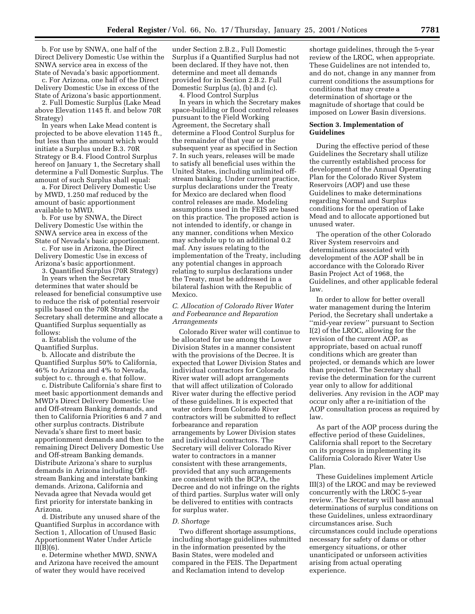b. For use by SNWA, one half of the Direct Delivery Domestic Use within the SNWA service area in excess of the State of Nevada's basic apportionment.

c. For Arizona, one half of the Direct Delivery Domestic Use in excess of the State of Arizona's basic apportionment.

2. Full Domestic Surplus (Lake Mead above Elevation 1145 ft. and below 70R Strategy)

In years when Lake Mead content is projected to be above elevation 1145 ft., but less than the amount which would initiate a Surplus under B.3. 70R Strategy or B.4. Flood Control Surplus hereof on January 1, the Secretary shall determine a Full Domestic Surplus. The amount of such Surplus shall equal:

a. For Direct Delivery Domestic Use by MWD, 1.250 maf reduced by the amount of basic apportionment available to MWD.

b. For use by SNWA, the Direct Delivery Domestic Use within the SNWA service area in excess of the State of Nevada's basic apportionment.

c. For use in Arizona, the Direct Delivery Domestic Use in excess of Arizona's basic apportionment.

3. Quantified Surplus (70R Strategy)

In years when the Secretary determines that water should be released for beneficial consumptive use to reduce the risk of potential reservoir spills based on the 70R Strategy the Secretary shall determine and allocate a Quantified Surplus sequentially as follows:

a. Establish the volume of the Quantified Surplus.

b. Allocate and distribute the Quantified Surplus 50% to California, 46% to Arizona and 4% to Nevada, subject to c. through e. that follow.

c. Distribute California's share first to meet basic apportionment demands and MWD's Direct Delivery Domestic Use and Off-stream Banking demands, and then to California Priorities 6 and 7 and other surplus contracts. Distribute Nevada's share first to meet basic apportionment demands and then to the remaining Direct Delivery Domestic Use and Off-stream Banking demands. Distribute Arizona's share to surplus demands in Arizona including Offstream Banking and interstate banking demands. Arizona, California and Nevada agree that Nevada would get first priority for interstate banking in Arizona.

d. Distribute any unused share of the Quantified Surplus in accordance with Section 1, Allocation of Unused Basic Apportionment Water Under Article  $II(B)(6)$ .

e. Determine whether MWD, SNWA and Arizona have received the amount of water they would have received

under Section 2.B.2., Full Domestic Surplus if a Quantified Surplus had not been declared. If they have not, then determine and meet all demands provided for in Section 2.B.2. Full Domestic Surplus (a), (b) and (c).

4. Flood Control Surplus

In years in which the Secretary makes space-building or flood control releases pursuant to the Field Working Agreement, the Secretary shall determine a Flood Control Surplus for the remainder of that year or the subsequent year as specified in Section 7. In such years, releases will be made to satisfy all beneficial uses within the United States, including unlimited offstream banking. Under current practice, surplus declarations under the Treaty for Mexico are declared when flood control releases are made. Modeling assumptions used in the FEIS are based on this practice. The proposed action is not intended to identify, or change in any manner, conditions when Mexico may schedule up to an additional 0.2 maf. Any issues relating to the implementation of the Treaty, including any potential changes in approach relating to surplus declarations under the Treaty, must be addressed in a bilateral fashion with the Republic of Mexico.

*C. Allocation of Colorado River Water and Forbearance and Reparation Arrangements*

Colorado River water will continue to be allocated for use among the Lower Division States in a manner consistent with the provisions of the Decree. It is expected that Lower Division States and individual contractors for Colorado River water will adopt arrangements that will affect utilization of Colorado River water during the effective period of these guidelines. It is expected that water orders from Colorado River contractors will be submitted to reflect forbearance and reparation arrangements by Lower Division states and individual contractors. The Secretary will deliver Colorado River water to contractors in a manner consistent with these arrangements, provided that any such arrangements are consistent with the BCPA, the Decree and do not infringe on the rights of third parties. Surplus water will only be delivered to entities with contracts for surplus water.

#### *D. Shortage*

Two different shortage assumptions, including shortage guidelines submitted in the information presented by the Basin States, were modeled and compared in the FEIS. The Department and Reclamation intend to develop

shortage guidelines, through the 5-year review of the LROC, when appropriate. These Guidelines are not intended to, and do not, change in any manner from current conditions the assumptions for conditions that may create a determination of shortage or the magnitude of shortage that could be imposed on Lower Basin diversions.

# **Section 3. Implementation of Guidelines**

During the effective period of these Guidelines the Secretary shall utilize the currently established process for development of the Annual Operating Plan for the Colorado River System Reservoirs (AOP) and use these Guidelines to make determinations regarding Normal and Surplus conditions for the operation of Lake Mead and to allocate apportioned but unused water.

The operation of the other Colorado River System reservoirs and determinations associated with development of the AOP shall be in accordance with the Colorado River Basin Project Act of 1968, the Guidelines, and other applicable federal law.

In order to allow for better overall water management during the Interim Period, the Secretary shall undertake a ''mid-year review'' pursuant to Section I(2) of the LROC, allowing for the revision of the current AOP, as appropriate, based on actual runoff conditions which are greater than projected, or demands which are lower than projected. The Secretary shall revise the determination for the current year only to allow for additional deliveries. Any revision in the AOP may occur only after a re-initiation of the AOP consultation process as required by law.

As part of the AOP process during the effective period of these Guidelines, California shall report to the Secretary on its progress in implementing its California Colorado River Water Use Plan.

These Guidelines implement Article III(3) of the LROC and may be reviewed concurrently with the LROC 5-year review. The Secretary will base annual determinations of surplus conditions on these Guidelines, unless extraordinary circumstances arise. Such circumstances could include operations necessary for safety of dams or other emergency situations, or other unanticipated or unforseen activities arising from actual operating experience.